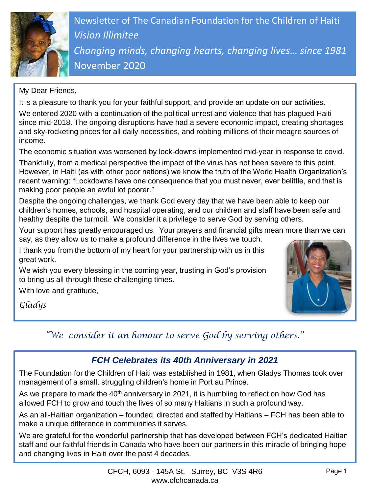

Newsletter of The Canadian Foundation for the Children of Haiti *Vision Illimitee Changing minds, changing hearts, changing lives… since 1981* November 2020

My Dear Friends,

It is a pleasure to thank you for your faithful support, and provide an update on our activities.

We entered 2020 with a continuation of the political unrest and violence that has plagued Haiti since mid-2018. The ongoing disruptions have had a severe economic impact, creating shortages and sky-rocketing prices for all daily necessities, and robbing millions of their meagre sources of income.

The economic situation was worsened by lock-downs implemented mid-year in response to covid.

Thankfully, from a medical perspective the impact of the virus has not been severe to this point. However, in Haiti (as with other poor nations) we know the truth of the World Health Organization's recent warning: "Lockdowns have one consequence that you must never, ever belittle, and that is making poor people an awful lot poorer."

Despite the ongoing challenges, we thank God every day that we have been able to keep our children's homes, schools, and hospital operating, and our children and staff have been safe and healthy despite the turmoil. We consider it a privilege to serve God by serving others.

Your support has greatly encouraged us. Your prayers and financial gifts mean more than we can say, as they allow us to make a profound difference in the lives we touch.

I thank you from the bottom of my heart for your partnership with us in this great work.

We wish you every blessing in the coming year, trusting in God's provision to bring us all through these challenging times.

With love and gratitude,

*Gladys*



*"We consider it an honour to serve God by serving others."*

## *FCH Celebrates its 40th Anniversary in 2021*

The Foundation for the Children of Haiti was established in 1981, when Gladys Thomas took over management of a small, struggling children's home in Port au Prince.

As we prepare to mark the  $40<sup>th</sup>$  anniversary in 2021, it is humbling to reflect on how God has allowed FCH to grow and touch the lives of so many Haitians in such a profound way.

As an all-Haitian organization – founded, directed and staffed by Haitians – FCH has been able to make a unique difference in communities it serves.

We are grateful for the wonderful partnership that has developed between FCH's dedicated Haitian staff and our faithful friends in Canada who have been our partners in this miracle of bringing hope and changing lives in Haiti over the past 4 decades.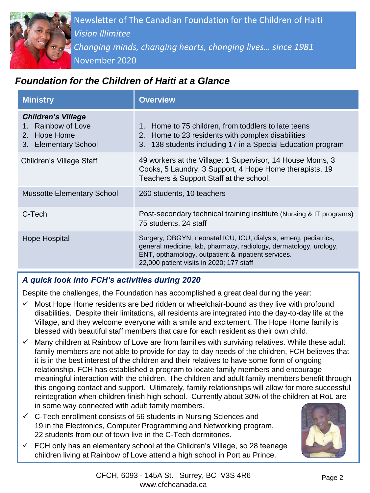

# *Foundation for the Children of Haiti at a Glance*

| <b>Ministry</b>                                                                         | <b>Overview</b>                                                                                                                                                                                                                        |
|-----------------------------------------------------------------------------------------|----------------------------------------------------------------------------------------------------------------------------------------------------------------------------------------------------------------------------------------|
| <b>Children's Village</b><br>1. Rainbow of Love<br>2. Hope Home<br>3. Elementary School | 1. Home to 75 children, from toddlers to late teens<br>2. Home to 23 residents with complex disabilities<br>3. 138 students including 17 in a Special Education program                                                                |
| Children's Village Staff                                                                | 49 workers at the Village: 1 Supervisor, 14 House Moms, 3<br>Cooks, 5 Laundry, 3 Support, 4 Hope Home therapists, 19<br>Teachers & Support Staff at the school.                                                                        |
| <b>Mussotte Elementary School</b>                                                       | 260 students, 10 teachers                                                                                                                                                                                                              |
| C-Tech                                                                                  | Post-secondary technical training institute (Nursing & IT programs)<br>75 students, 24 staff                                                                                                                                           |
| Hope Hospital                                                                           | Surgery, OBGYN, neonatal ICU, ICU, dialysis, emerg, pediatrics,<br>general medicine, lab, pharmacy, radiology, dermatology, urology,<br>ENT, opthamology, outpatient & inpatient services.<br>22,000 patient visits in 2020; 177 staff |

#### *A quick look into FCH's activities during 2020*

Despite the challenges, the Foundation has accomplished a great deal during the year:

- Most Hope Home residents are bed ridden or wheelchair-bound as they live with profound disabilities. Despite their limitations, all residents are integrated into the day-to-day life at the Village, and they welcome everyone with a smile and excitement. The Hope Home family is blessed with beautiful staff members that care for each resident as their own child.
- $\checkmark$  Many children at Rainbow of Love are from families with surviving relatives. While these adult family members are not able to provide for day-to-day needs of the children, FCH believes that it is in the best interest of the children and their relatives to have some form of ongoing relationship. FCH has established a program to locate family members and encourage meaningful interaction with the children. The children and adult family members benefit through this ongoing contact and support. Ultimately, family relationships will allow for more successful reintegration when children finish high school. Currently about 30% of the children at RoL are in some way connected with adult family members.
- $\checkmark$  C-Tech enrollment consists of 56 students in Nursing Sciences and 19 in the Electronics, Computer Programming and Networking program. 22 students from out of town live in the C-Tech dormitories.
- FCH only has an elementary school at the Children's Village, so 28 teenage children living at Rainbow of Love attend a high school in Port au Prince.

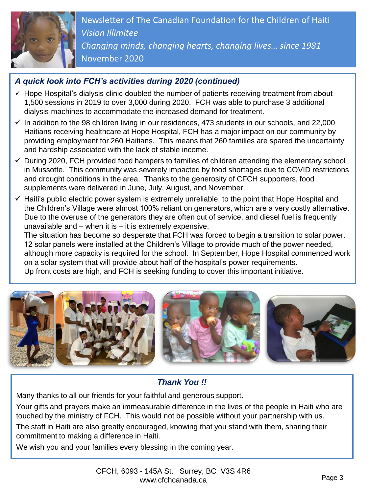

Ad *Changing minds, changing hearts, changing lives… since 1981* Newsletter of The Canadian Foundation for the Children of Haiti *Vision Illimitee* November 2020

### *A quick look into FCH's activities during 2020 (continued)*

- $\checkmark$  Hope Hospital's dialysis clinic doubled the number of patients receiving treatment from about 1,500 sessions in 2019 to over 3,000 during 2020. FCH was able to purchase 3 additional dialysis machines to accommodate the increased demand for treatment.
- $\checkmark$  In addition to the 98 children living in our residences, 473 students in our schools, and 22,000 Haitians receiving healthcare at Hope Hospital, FCH has a major impact on our community by providing employment for 260 Haitians. This means that 260 families are spared the uncertainty and hardship associated with the lack of stable income.
- ✓ During 2020, FCH provided food hampers to families of children attending the elementary school in Mussotte. This community was severely impacted by food shortages due to COVID restrictions and drought conditions in the area. Thanks to the generosity of CFCH supporters, food supplements were delivered in June, July, August, and November.
- $\checkmark$  Haiti's public electric power system is extremely unreliable, to the point that Hope Hospital and the Children's Village were almost 100% reliant on generators, which are a very costly alternative. Due to the overuse of the generators they are often out of service, and diesel fuel is frequently unavailable and  $-$  when it is  $-$  it is extremely expensive.

The situation has become so desperate that FCH was forced to begin a transition to solar power. 12 solar panels were installed at the Children's Village to provide much of the power needed, although more capacity is required for the school. In September, Hope Hospital commenced work on a solar system that will provide about half of the hospital's power requirements. Up front costs are high, and FCH is seeking funding to cover this important initiative.



## *Thank You !!*

Many thanks to all our friends for your faithful and generous support.

Your gifts and prayers make an immeasurable difference in the lives of the people in Haiti who are touched by the ministry of FCH. This would not be possible without your partnership with us. The staff in Haiti are also greatly encouraged, knowing that you stand with them, sharing their commitment to making a difference in Haiti.

We wish you and your families every blessing in the coming year.